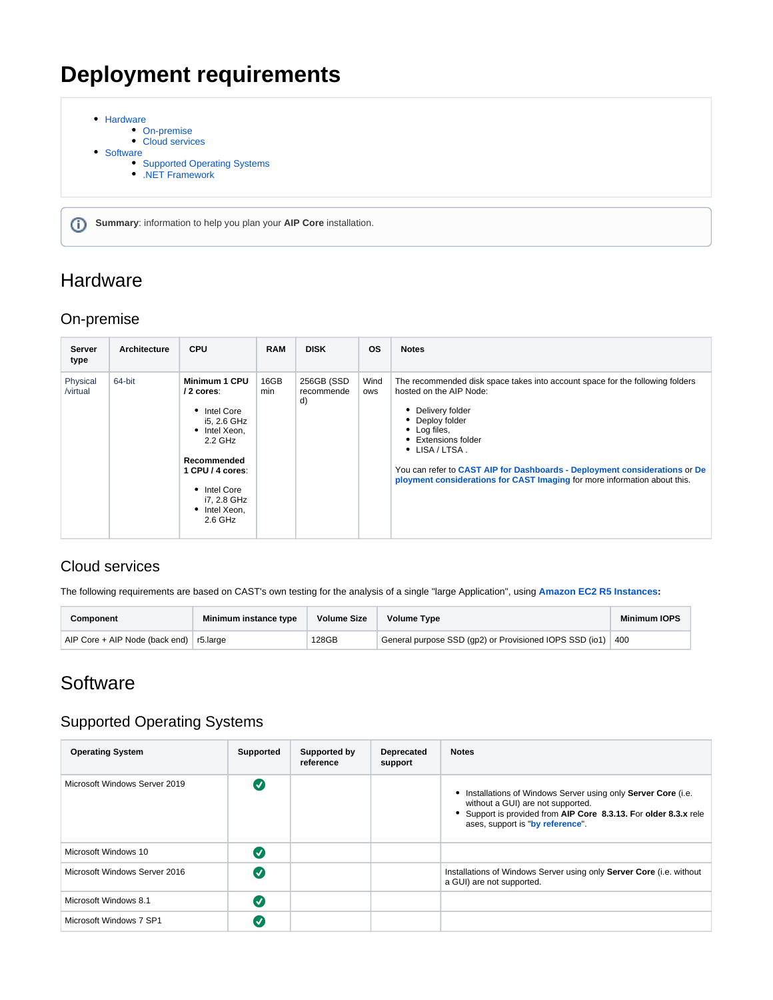# **Deployment requirements**

```
Hardware
      On-premise
      Cloud services
Software
```
- [Supported Operating Systems](#page-0-4)
- [.NET Framework](#page-1-0)

```
⊕
```
**Summary**: information to help you plan your **AIP Core** installation.

## <span id="page-0-0"></span>**Hardware**

#### <span id="page-0-1"></span>On-premise

| Server<br>type       | <b>Architecture</b> | <b>CPU</b>                                                                                                                                                                       | <b>RAM</b>  | <b>DISK</b>                    | <b>OS</b>          | <b>Notes</b>                                                                                                                                                                                                                                                                                                                                                               |
|----------------------|---------------------|----------------------------------------------------------------------------------------------------------------------------------------------------------------------------------|-------------|--------------------------------|--------------------|----------------------------------------------------------------------------------------------------------------------------------------------------------------------------------------------------------------------------------------------------------------------------------------------------------------------------------------------------------------------------|
| Physical<br>/virtual | 64-bit              | Minimum 1 CPU<br>/ 2 cores:<br>Intel Core<br>i5, 2.6 GHz<br>Intel Xeon,<br>$2.2$ GHz<br>Recommended<br>1 CPU / 4 cores:<br>Intel Core<br>i7, 2.8 GHz<br>Intel Xeon,<br>$2.6$ GHz | 16GB<br>min | 256GB (SSD<br>recommende<br>d) | Wind<br><b>OWS</b> | The recommended disk space takes into account space for the following folders<br>hosted on the AIP Node:<br>• Delivery folder<br>• Deploy folder<br>• Log files,<br>• Extensions folder<br>$\bullet$ LISA/LTSA.<br>You can refer to CAST AIP for Dashboards - Deployment considerations or De<br>ployment considerations for CAST Imaging for more information about this. |

#### <span id="page-0-2"></span>Cloud services

The following requirements are based on CAST's own testing for the analysis of a single "large Application", using **[Amazon EC2 R5 Instances](https://aws.amazon.com/ec2/instance-types/r5/?nc1=h_ls):**

| Component                                 | Minimum instance type | <b>Volume Size</b> | <b>Volume Type</b>                                          | <b>Minimum IOPS</b> |
|-------------------------------------------|-----------------------|--------------------|-------------------------------------------------------------|---------------------|
| AIP Core + AIP Node (back end)   r5.large |                       | 128GB              | General purpose SSD (gp2) or Provisioned IOPS SSD (io1) 400 |                     |

# <span id="page-0-3"></span>**Software**

### <span id="page-0-4"></span>Supported Operating Systems

| <b>Operating System</b>       | <b>Supported</b>      | Supported by<br>reference | Deprecated<br>support | <b>Notes</b>                                                                                                                                                                                                 |
|-------------------------------|-----------------------|---------------------------|-----------------------|--------------------------------------------------------------------------------------------------------------------------------------------------------------------------------------------------------------|
| Microsoft Windows Server 2019 | $\boldsymbol{\sigma}$ |                           |                       | Installations of Windows Server using only Server Core (i.e.<br>٠<br>without a GUI) are not supported.<br>Support is provided from AIP Core 8.3.13. For older 8.3.x rele<br>ases, support is "by reference". |
| Microsoft Windows 10          | $\boldsymbol{\sigma}$ |                           |                       |                                                                                                                                                                                                              |
| Microsoft Windows Server 2016 | $\boldsymbol{\sigma}$ |                           |                       | Installations of Windows Server using only Server Core (i.e. without<br>a GUI) are not supported.                                                                                                            |
| Microsoft Windows 8.1         | $\boldsymbol{\sigma}$ |                           |                       |                                                                                                                                                                                                              |
| Microsoft Windows 7 SP1       |                       |                           |                       |                                                                                                                                                                                                              |